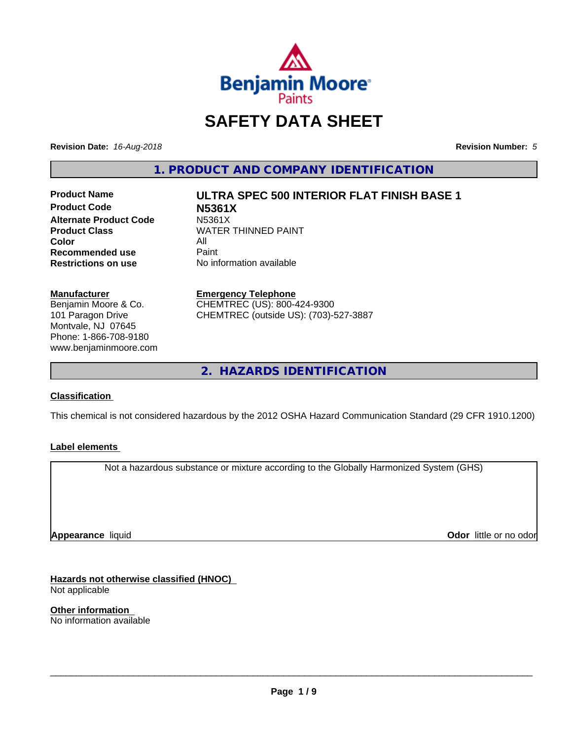

# **SAFETY DATA SHEET**

**Revision Date:** *16-Aug-2018* **Revision Number:** *5*

**1. PRODUCT AND COMPANY IDENTIFICATION**

**Product Code N5361X Alternate Product Code M5361X**<br>Product Class WATER **Color** All<br> **Recommended use** Paint **Recommended use**<br>Restrictions on use

**Product Name ULTRA SPEC 500 INTERIOR FLAT FINISH BASE 1**

**WATER THINNED PAINT No information available** 

#### **Manufacturer**

Benjamin Moore & Co. 101 Paragon Drive Montvale, NJ 07645 Phone: 1-866-708-9180 www.benjaminmoore.com

#### **Emergency Telephone**

CHEMTREC (US): 800-424-9300 CHEMTREC (outside US): (703)-527-3887

**2. HAZARDS IDENTIFICATION**

## **Classification**

This chemical is not considered hazardous by the 2012 OSHA Hazard Communication Standard (29 CFR 1910.1200)

## **Label elements**

Not a hazardous substance or mixture according to the Globally Harmonized System (GHS)

**Appearance** liquid

**Odor** little or no odor

**Hazards not otherwise classified (HNOC)** Not applicable

**Other information** No information available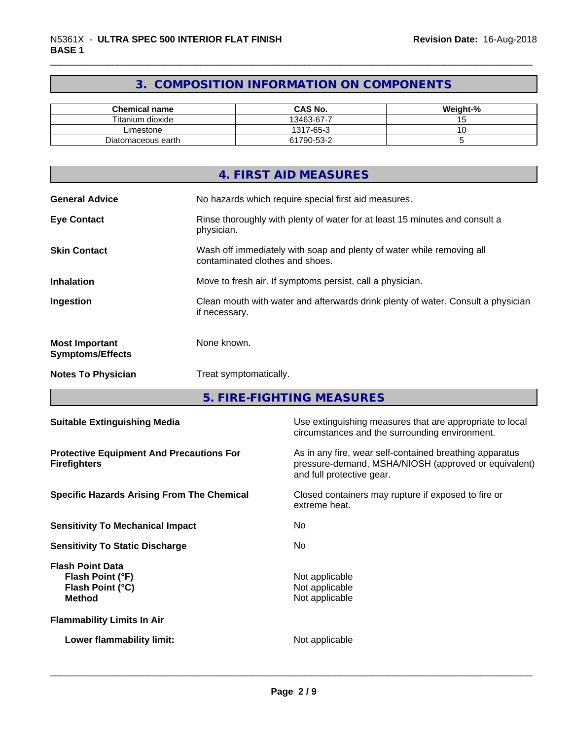## **3. COMPOSITION INFORMATION ON COMPONENTS**

| <b>Chemical name</b> | <b>CAS No.</b> | Weight-% |
|----------------------|----------------|----------|
| Titanium dioxide     | 13463-67-7     |          |
| Limestone            | 1317-65-3      |          |
| Diatomaceous earth   | 61790-53-2     |          |

|                                                  | 4. FIRST AID MEASURES                                                                                    |
|--------------------------------------------------|----------------------------------------------------------------------------------------------------------|
| <b>General Advice</b>                            | No hazards which require special first aid measures.                                                     |
| <b>Eye Contact</b>                               | Rinse thoroughly with plenty of water for at least 15 minutes and consult a<br>physician.                |
| <b>Skin Contact</b>                              | Wash off immediately with soap and plenty of water while removing all<br>contaminated clothes and shoes. |
| <b>Inhalation</b>                                | Move to fresh air. If symptoms persist, call a physician.                                                |
| Ingestion                                        | Clean mouth with water and afterwards drink plenty of water. Consult a physician<br>if necessary.        |
| <b>Most Important</b><br><b>Symptoms/Effects</b> | None known.                                                                                              |
| <b>Notes To Physician</b>                        | Treat symptomatically.                                                                                   |

**5. FIRE-FIGHTING MEASURES**

| <b>Suitable Extinguishing Media</b>                                              | Use extinguishing measures that are appropriate to local<br>circumstances and the surrounding environment.                                   |  |  |
|----------------------------------------------------------------------------------|----------------------------------------------------------------------------------------------------------------------------------------------|--|--|
| <b>Protective Equipment And Precautions For</b><br><b>Firefighters</b>           | As in any fire, wear self-contained breathing apparatus<br>pressure-demand, MSHA/NIOSH (approved or equivalent)<br>and full protective gear. |  |  |
| <b>Specific Hazards Arising From The Chemical</b>                                | Closed containers may rupture if exposed to fire or<br>extreme heat.                                                                         |  |  |
| <b>Sensitivity To Mechanical Impact</b>                                          | No.                                                                                                                                          |  |  |
| <b>Sensitivity To Static Discharge</b>                                           | No.                                                                                                                                          |  |  |
| <b>Flash Point Data</b><br>Flash Point (°F)<br>Flash Point (°C)<br><b>Method</b> | Not applicable<br>Not applicable<br>Not applicable                                                                                           |  |  |
| <b>Flammability Limits In Air</b>                                                |                                                                                                                                              |  |  |
| Lower flammability limit:                                                        | Not applicable                                                                                                                               |  |  |
|                                                                                  |                                                                                                                                              |  |  |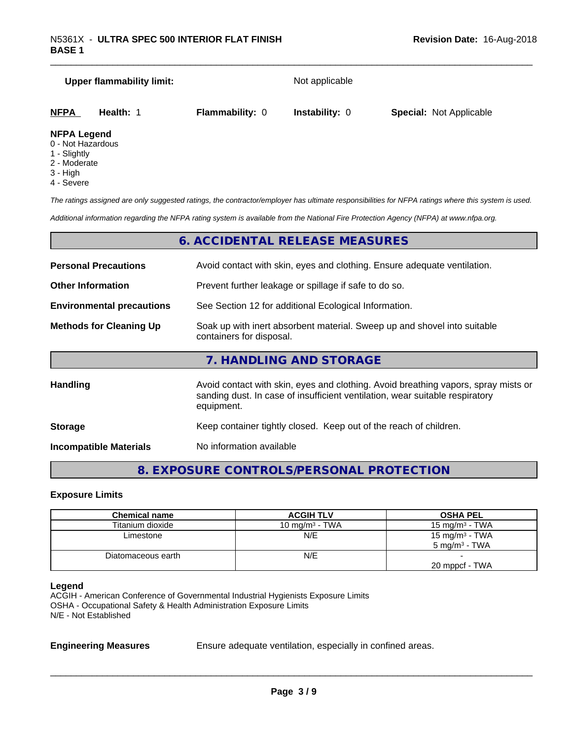|                                         | <b>Upper flammability limit:</b> |                        | Not applicable        |                                |
|-----------------------------------------|----------------------------------|------------------------|-----------------------|--------------------------------|
| <b>NFPA</b>                             | Health: 1                        | <b>Flammability: 0</b> | <b>Instability: 0</b> | <b>Special: Not Applicable</b> |
| <b>NFPA Legend</b><br>0 - Not Hazardous |                                  |                        |                       |                                |

- 1 Slightly
- 2 Moderate
- 
- 3 High
- 4 Severe

*The ratings assigned are only suggested ratings, the contractor/employer has ultimate responsibilities for NFPA ratings where this system is used.*

*Additional information regarding the NFPA rating system is available from the National Fire Protection Agency (NFPA) at www.nfpa.org.*

## **6. ACCIDENTAL RELEASE MEASURES**

| <b>Personal Precautions</b><br>Avoid contact with skin, eyes and clothing. Ensure adequate ventilation.                                |                                                                                                                                                                                  |  |  |
|----------------------------------------------------------------------------------------------------------------------------------------|----------------------------------------------------------------------------------------------------------------------------------------------------------------------------------|--|--|
| <b>Other Information</b>                                                                                                               | Prevent further leakage or spillage if safe to do so.                                                                                                                            |  |  |
| <b>Environmental precautions</b>                                                                                                       | See Section 12 for additional Ecological Information.                                                                                                                            |  |  |
| Soak up with inert absorbent material. Sweep up and shovel into suitable<br><b>Methods for Cleaning Up</b><br>containers for disposal. |                                                                                                                                                                                  |  |  |
|                                                                                                                                        | 7. HANDLING AND STORAGE                                                                                                                                                          |  |  |
| <b>Handling</b>                                                                                                                        | Avoid contact with skin, eyes and clothing. Avoid breathing vapors, spray mists or<br>sanding dust. In case of insufficient ventilation, wear suitable respiratory<br>equipment. |  |  |
| <b>Storage</b>                                                                                                                         | Keep container tightly closed. Keep out of the reach of children.                                                                                                                |  |  |

**Incompatible Materials** No information available

## **8. EXPOSURE CONTROLS/PERSONAL PROTECTION**

#### **Exposure Limits**

| <b>Chemical name</b> | <b>ACGIH TLV</b>  | <b>OSHA PEL</b>          |
|----------------------|-------------------|--------------------------|
| Titanium dioxide     | 10 mg/m $3$ - TWA | 15 mg/m $3$ - TWA        |
| Limestone            | N/E               | 15 mg/m $3$ - TWA        |
|                      |                   | $5 \text{ ma/m}^3$ - TWA |
| Diatomaceous earth   | N/E               |                          |
|                      |                   | 20 mppcf - TWA           |

#### **Legend**

ACGIH - American Conference of Governmental Industrial Hygienists Exposure Limits OSHA - Occupational Safety & Health Administration Exposure Limits N/E - Not Established

**Engineering Measures** Ensure adequate ventilation, especially in confined areas.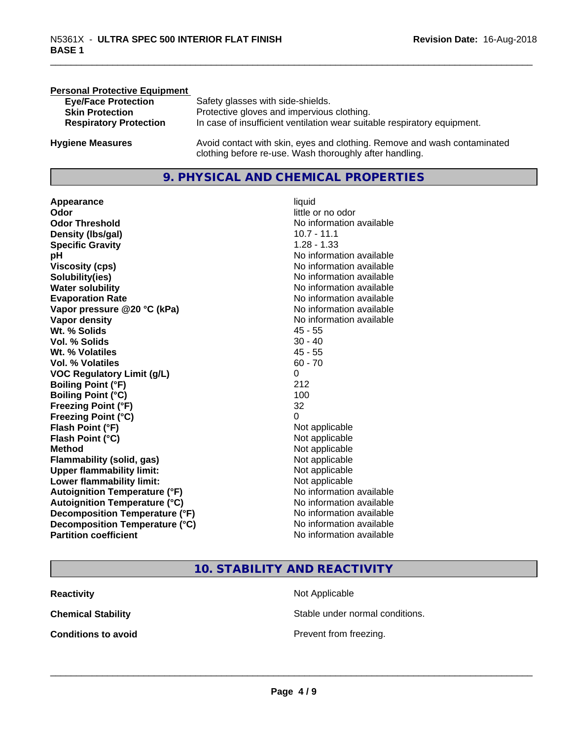| <b>Personal Protective Equipment</b> |                                                                                                                                     |
|--------------------------------------|-------------------------------------------------------------------------------------------------------------------------------------|
| <b>Eye/Face Protection</b>           | Safety glasses with side-shields.                                                                                                   |
| <b>Skin Protection</b>               | Protective gloves and impervious clothing.                                                                                          |
| <b>Respiratory Protection</b>        | In case of insufficient ventilation wear suitable respiratory equipment.                                                            |
| <b>Hygiene Measures</b>              | Avoid contact with skin, eyes and clothing. Remove and wash contaminated<br>clothing before re-use. Wash thoroughly after handling. |

## **9. PHYSICAL AND CHEMICAL PROPERTIES**

**Appearance** liquid **Odor** little or no odor **Odor Threshold**<br> **Density (Ibs/gal)**<br> **Density (Ibs/gal)**<br> **No information available**<br>
10.7 - 11.1 **Density (Ibs/gal) Specific Gravity** 1.28 - 1.33 **pH pH**  $\blacksquare$ **Viscosity (cps)** No information available<br> **Solubility(ies)** No information available<br>
No information available **Solubility(ies)**<br> **No** information available<br> **Water solubility**<br> **Water solubility Evaporation Rate No information available No information available Vapor pressure @20 °C (kPa)** No information available **Vapor density**<br> **Vapor density**<br> **With % Solids**<br>
With % Solids
2018 Wt. % Solids **Vol. % Solids** 30 - 40 **Wt. % Volatiles** 45 - 55 **Vol. % Volatiles** 60 - 70 **VOC Regulatory Limit (g/L)** 0 **Boiling Point (°F)** 212 **Boiling Point (°C)** 100 **Freezing Point (°F)** 32 **Freezing Point (°C)** 0 **Flash Point (°F)**<br> **Flash Point (°C)**<br> **Flash Point (°C)**<br> **C Flash Point (°C) Method** Not applicable Not applicable **Flammability (solid, gas)**<br> **Upper flammability limit:**<br>
Upper flammability limit:<br>  $\begin{array}{ccc}\n\bullet & \bullet & \bullet \\
\bullet & \bullet & \bullet\n\end{array}$  Not applicable **Upper flammability limit: Lower flammability limit:** Not applicable **Autoignition Temperature (°F)** No information available **Autoignition Temperature (°C)** No information available **Decomposition Temperature (°F)** No information available<br> **Decomposition Temperature (°C)** No information available **Decomposition Temperature (°C)**<br>Partition coefficient

**No information available No information available** 

## **10. STABILITY AND REACTIVITY**

| Reactivity                 | Not Applicable  |
|----------------------------|-----------------|
| Chemical Stability         | Stable under n  |
| <b>Conditions to avoid</b> | Prevent from fr |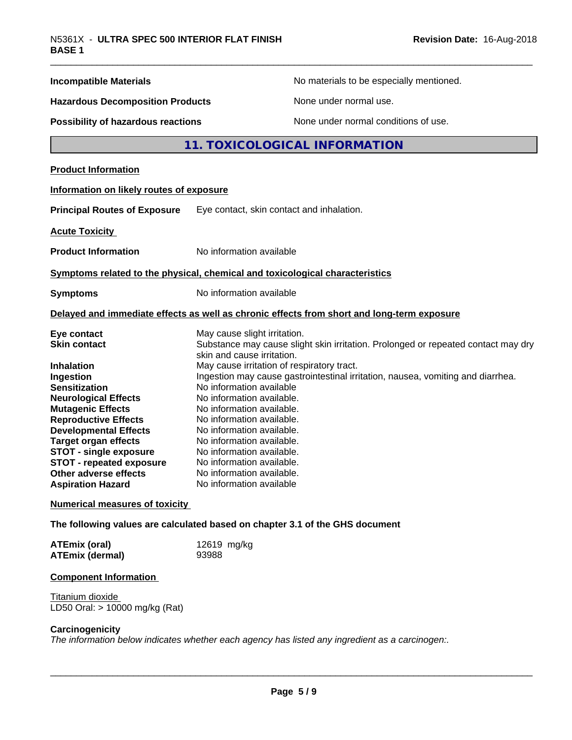| <b>Incompatible Materials</b>                                    | No materials to be especially mentioned.                                                                        |  |
|------------------------------------------------------------------|-----------------------------------------------------------------------------------------------------------------|--|
| <b>Hazardous Decomposition Products</b>                          | None under normal use.                                                                                          |  |
| Possibility of hazardous reactions                               | None under normal conditions of use.                                                                            |  |
|                                                                  | 11. TOXICOLOGICAL INFORMATION                                                                                   |  |
| <b>Product Information</b>                                       |                                                                                                                 |  |
| Information on likely routes of exposure                         |                                                                                                                 |  |
| <b>Principal Routes of Exposure</b>                              | Eye contact, skin contact and inhalation.                                                                       |  |
| <b>Acute Toxicity</b>                                            |                                                                                                                 |  |
| <b>Product Information</b>                                       | No information available                                                                                        |  |
|                                                                  | Symptoms related to the physical, chemical and toxicological characteristics                                    |  |
| <b>Symptoms</b>                                                  | No information available                                                                                        |  |
|                                                                  | Delayed and immediate effects as well as chronic effects from short and long-term exposure                      |  |
| Eye contact                                                      | May cause slight irritation.                                                                                    |  |
| <b>Skin contact</b>                                              | Substance may cause slight skin irritation. Prolonged or repeated contact may dry<br>skin and cause irritation. |  |
| <b>Inhalation</b>                                                | May cause irritation of respiratory tract.                                                                      |  |
| Ingestion                                                        | Ingestion may cause gastrointestinal irritation, nausea, vomiting and diarrhea.                                 |  |
| <b>Sensitization</b>                                             | No information available                                                                                        |  |
| <b>Neurological Effects</b>                                      | No information available.                                                                                       |  |
| <b>Mutagenic Effects</b>                                         | No information available.                                                                                       |  |
| <b>Reproductive Effects</b>                                      | No information available.                                                                                       |  |
| <b>Developmental Effects</b>                                     | No information available.<br>No information available.                                                          |  |
| <b>Target organ effects</b>                                      | No information available.                                                                                       |  |
| <b>STOT - single exposure</b><br><b>STOT - repeated exposure</b> | No information available.                                                                                       |  |
| <b>Other adverse effects</b>                                     | No information available.                                                                                       |  |
| <b>Aspiration Hazard</b>                                         | No information available                                                                                        |  |
| <b>Numerical measures of toxicity</b>                            |                                                                                                                 |  |
|                                                                  | The following values are calculated based on chapter 3.1 of the GHS document                                    |  |
|                                                                  |                                                                                                                 |  |
| <b>ATEmix (oral)</b><br><b>ATEmix (dermal)</b>                   | 12619 mg/kg<br>93988                                                                                            |  |
| <b>Component Information</b>                                     |                                                                                                                 |  |

**Titanium dioxide** LD50 Oral: > 10000 mg/kg (Rat)

#### **Carcinogenicity**

*The information below indicateswhether each agency has listed any ingredient as a carcinogen:.*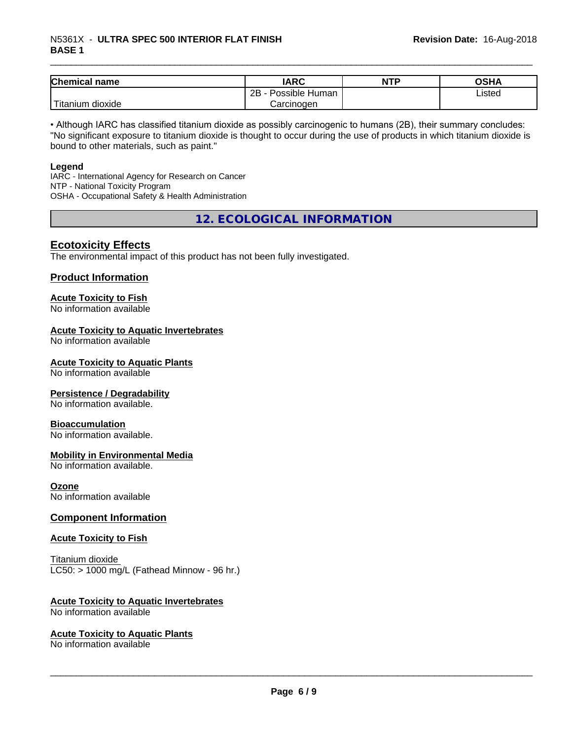## \_\_\_\_\_\_\_\_\_\_\_\_\_\_\_\_\_\_\_\_\_\_\_\_\_\_\_\_\_\_\_\_\_\_\_\_\_\_\_\_\_\_\_\_\_\_\_\_\_\_\_\_\_\_\_\_\_\_\_\_\_\_\_\_\_\_\_\_\_\_\_\_\_\_\_\_\_\_\_\_\_\_\_\_\_\_\_\_\_\_\_\_\_ N5361X - **ULTRA SPEC <sup>500</sup> INTERIOR FLAT FINISH BASE 1**

| Chemical<br>∣ name                                                                                                                        | <b>IARC</b>          | <b>NTP</b> | OSHA   |
|-------------------------------------------------------------------------------------------------------------------------------------------|----------------------|------------|--------|
|                                                                                                                                           | 2B<br>Possible Human |            | Listed |
| <b>The Contract of the Contract of the Contract of the Contract of the Contract of the Contract of the Contract o</b><br>Titanium dioxide | Carcinogen           |            |        |

• Although IARC has classified titanium dioxide as possibly carcinogenic to humans (2B), their summary concludes: "No significant exposure to titanium dioxide is thought to occur during the use of products in which titanium dioxide is bound to other materials, such as paint."

#### **Legend**

IARC - International Agency for Research on Cancer NTP - National Toxicity Program OSHA - Occupational Safety & Health Administration

**12. ECOLOGICAL INFORMATION**

## **Ecotoxicity Effects**

The environmental impact of this product has not been fully investigated.

#### **Product Information**

## **Acute Toxicity to Fish**

No information available

#### **Acute Toxicity to Aquatic Invertebrates**

No information available

#### **Acute Toxicity to Aquatic Plants**

No information available

#### **Persistence / Degradability**

No information available.

#### **Bioaccumulation**

No information available.

#### **Mobility in Environmental Media**

No information available.

#### **Ozone**

No information available

## **Component Information**

#### **Acute Toxicity to Fish**

Titanium dioxide  $LC50:$  > 1000 mg/L (Fathead Minnow - 96 hr.)

## **Acute Toxicity to Aquatic Invertebrates**

No information available

#### **Acute Toxicity to Aquatic Plants**

No information available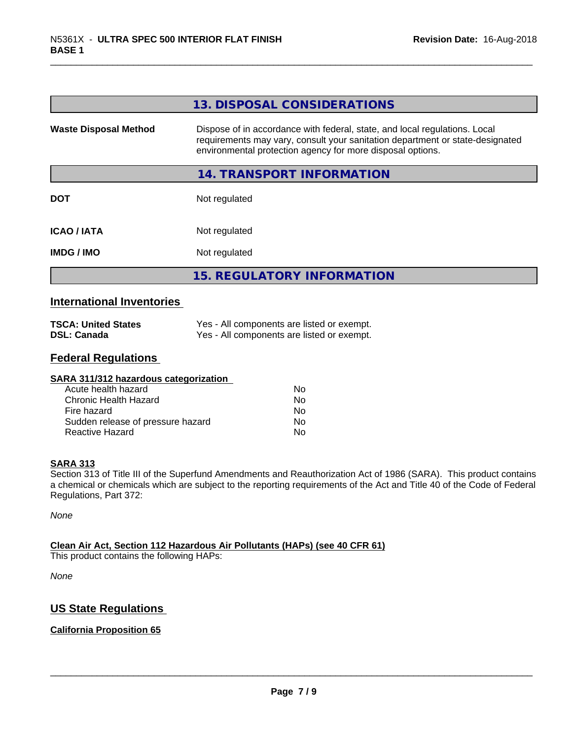| Dispose of in accordance with federal, state, and local regulations. Local<br>requirements may vary, consult your sanitation department or state-designated<br>environmental protection agency for more disposal options. |
|---------------------------------------------------------------------------------------------------------------------------------------------------------------------------------------------------------------------------|
| 14. TRANSPORT INFORMATION                                                                                                                                                                                                 |
| Not regulated                                                                                                                                                                                                             |
| Not regulated                                                                                                                                                                                                             |
| Not regulated                                                                                                                                                                                                             |
| <b>15. REGULATORY INFORMATION</b>                                                                                                                                                                                         |
|                                                                                                                                                                                                                           |

## **International Inventories**

| <b>TSCA: United States</b> | Yes - All components are listed or exempt. |
|----------------------------|--------------------------------------------|
| <b>DSL: Canada</b>         | Yes - All components are listed or exempt. |

## **Federal Regulations**

| SARA 311/312 hazardous categorization |    |  |
|---------------------------------------|----|--|
| Acute health hazard                   | Nο |  |
| Chronic Health Hazard                 | No |  |
| Fire hazard                           | Nο |  |
| Sudden release of pressure hazard     | Nο |  |
| Reactive Hazard                       | No |  |

#### **SARA 313**

Section 313 of Title III of the Superfund Amendments and Reauthorization Act of 1986 (SARA). This product contains a chemical or chemicals which are subject to the reporting requirements of the Act and Title 40 of the Code of Federal Regulations, Part 372:

*None*

## **Clean Air Act,Section 112 Hazardous Air Pollutants (HAPs) (see 40 CFR 61)**

This product contains the following HAPs:

*None*

## **US State Regulations**

## **California Proposition 65**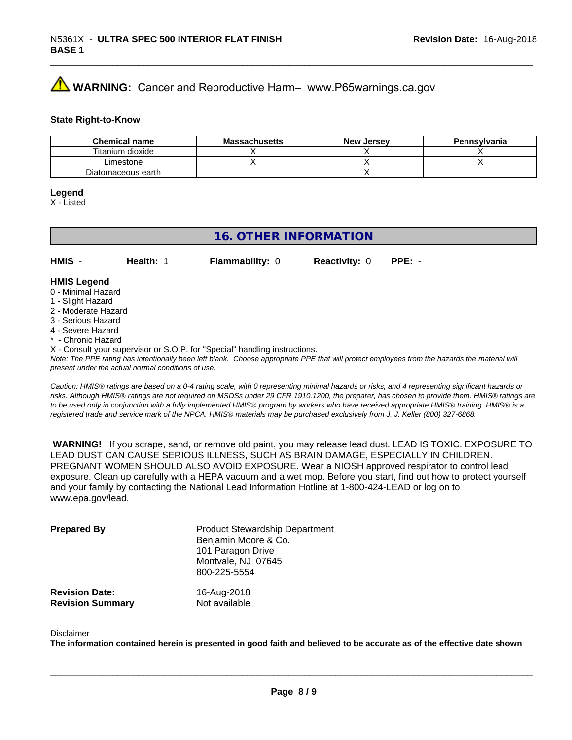## **AVIMARNING:** Cancer and Reproductive Harm– www.P65warnings.ca.gov

#### **State Right-to-Know**

| <b>Chemical name</b> | <b>Massachusetts</b> | <b>New Jersey</b> | Pennsylvania |
|----------------------|----------------------|-------------------|--------------|
| Titanium dioxide     |                      |                   |              |
| Limestone            |                      |                   |              |
| Diatomaceous earth   |                      |                   |              |

#### **Legend**

X - Listed

## **16. OTHER INFORMATION**

**HMIS** - **Health:** 1 **Flammability:** 0 **Reactivity:** 0 **PPE:** -

#### **HMIS Legend**

- 0 Minimal Hazard
- 1 Slight Hazard
- 2 Moderate Hazard
- 3 Serious Hazard
- 4 Severe Hazard
- Chronic Hazard
- X Consult your supervisor or S.O.P. for "Special" handling instructions.

*Note: The PPE rating has intentionally been left blank. Choose appropriate PPE that will protect employees from the hazards the material will present under the actual normal conditions of use.*

*Caution: HMISÒ ratings are based on a 0-4 rating scale, with 0 representing minimal hazards or risks, and 4 representing significant hazards or risks. Although HMISÒ ratings are not required on MSDSs under 29 CFR 1910.1200, the preparer, has chosen to provide them. HMISÒ ratings are to be used only in conjunction with a fully implemented HMISÒ program by workers who have received appropriate HMISÒ training. HMISÒ is a registered trade and service mark of the NPCA. HMISÒ materials may be purchased exclusively from J. J. Keller (800) 327-6868.*

 **WARNING!** If you scrape, sand, or remove old paint, you may release lead dust. LEAD IS TOXIC. EXPOSURE TO LEAD DUST CAN CAUSE SERIOUS ILLNESS, SUCH AS BRAIN DAMAGE, ESPECIALLY IN CHILDREN. PREGNANT WOMEN SHOULD ALSO AVOID EXPOSURE.Wear a NIOSH approved respirator to control lead exposure. Clean up carefully with a HEPA vacuum and a wet mop. Before you start, find out how to protect yourself and your family by contacting the National Lead Information Hotline at 1-800-424-LEAD or log on to www.epa.gov/lead.

| <b>Prepared By</b>      | <b>Product Stewardship Department</b><br>Benjamin Moore & Co.<br>101 Paragon Drive<br>Montvale, NJ 07645<br>800-225-5554 |
|-------------------------|--------------------------------------------------------------------------------------------------------------------------|
| <b>Revision Date:</b>   | 16-Aug-2018                                                                                                              |
| <b>Revision Summary</b> | Not available                                                                                                            |

#### Disclaimer

The information contained herein is presented in good faith and believed to be accurate as of the effective date shown